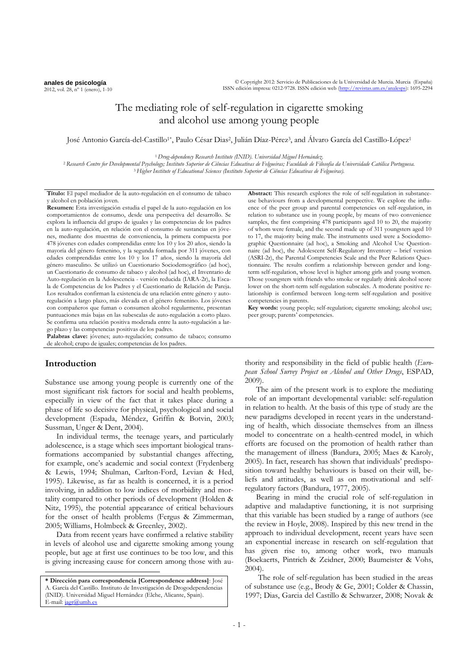**anales de psicología** 2012, vol. 28, nº 1 (enero), 1-10

# The mediating role of self-regulation in cigarette smoking and alcohol use among young people

José Antonio García-del-Castillo<sup>1\*</sup>, Paulo César Dias<sup>2</sup>, Julián Díaz-Pérez<sup>3</sup>, and Álvaro García del Castillo-López<sup>1</sup>

<sup>1</sup>*Drug-dependency Research Institute (INID). Universidad Miguel Hernández*.

<sup>2</sup>*Research Centre for Developmental Psychology; Instituto Superior de Ciências Educativas de Felgueiras; Faculdade de Filosofia da Universidade Católica Portuguesa.* <sup>3</sup>*Higher Institute of Educational Sciences (Instituto Superior de Ciências Educativas de Felgueiras).*

**Título:** El papel mediador de la auto-regulación en el consumo de tabaco y alcohol en población joven.

**Resumen:** Esta investigación estudia el papel de la auto-regulación en los comportamientos de consumo, desde una perspectiva del desarrollo. Se explora la influencia del grupo de iguales y las competencias de los padres en la auto-regulación, en relación con el consumo de sustancias en jóvenes, mediante dos muestras de conveniencia, la primera compuesta por 478 jóvenes con edades comprendidas entre los 10 y los 20 años, siendo la mayoría del género femenino, y la segunda formada por 311 jóvenes, con edades comprendidas entre los 10 y los 17 años, siendo la mayoría del género masculino. Se utilizó un Cuestionario Sociodemográfico (ad hoc), un Cuestionario de consumo de tabaco y alcohol (ad hoc), el Inventario de Auto-regulación en la Adolescencia - versión reducida (IARA-2r), la Escala de Competencias de los Padres y el Cuestionario de Relación de Pareja. Los resultados confirman la existencia de una relación entre género y autoregulación a largo plazo, más elevada en el género femenino. Los jóvenes con compañeros que fuman o consumen alcohol regularmente, presentan puntuaciones más bajas en las subescalas de auto-regulación a corto plazo. Se confirma una relación positiva moderada entre la auto-regulación a largo plazo y las competencias positivas de los padres.

**Palabras clave:** jóvenes; auto-regulación; consumo de tabaco; consumo de alcohol; crupo de iguales; competencias de los padres.

# **Introduction**

 $\overline{a}$ 

Substance use among young people is currently one of the most significant risk factors for social and health problems, especially in view of the fact that it takes place during a phase of life so decisive for physical, psychological and social development (Espada, Méndez, Griffin & Botvin, 2003; Sussman, Unger & Dent, 2004).

In individual terms, the teenage years, and particularly adolescence, is a stage which sees important biological transformations accompanied by substantial changes affecting, for example, one's academic and social context (Frydenberg & Lewis, 1994; Shulman, Carlton-Ford, Levian & Hed, 1995). Likewise, as far as health is concerned, it is a period involving, in addition to low indices of morbidity and mortality compared to other periods of development (Holden & Nitz, 1995), the potential appearance of critical behaviours for the onset of health problems (Fergus & Zimmerman, 2005; Williams, Holmbeck & Greenley, 2002).

Data from recent years have confirmed a relative stability in levels of alcohol use and cigarette smoking among young people, but age at first use continues to be too low, and this is giving increasing cause for concern among those with au**Abstract:** This research explores the role of self-regulation in substanceuse behaviours from a developmental perspective. We explore the influence of the peer group and parental competencies on self-regulation, in relation to substance use in young people, by means of two convenience samples, the first comprising 478 participants aged 10 to 20, the majority of whom were female, and the second made up of 311 youngsters aged 10 to 17, the majority being male. The instruments used were a Sociodemographic Questionnaire (ad hoc), a Smoking and Alcohol Use Questionnaire (ad hoc), the Adolescent Self-Regulatory Inventory – brief version (ASRI-2r), the Parental Competencies Scale and the Peer Relations Questionnaire. The results confirm a relationship between gender and longterm self-regulation, whose level is higher among girls and young women. Those youngsters with friends who smoke or regularly drink alcohol score lower on the short-term self-regulation subscales. A moderate positive relationship is confirmed between long-term self-regulation and positive competencies in parents.

**Key words:** young people; self-regulation; cigarette smoking; alcohol use; peer group; parents' competencies.

thority and responsibility in the field of public health (*European School Survey Project on Alcohol and Other Drugs*, ESPAD, 2009).

The aim of the present work is to explore the mediating role of an important developmental variable: self-regulation in relation to health. At the basis of this type of study are the new paradigms developed in recent years in the understanding of health, which dissociate themselves from an illness model to concentrate on a health-centred model, in which efforts are focused on the promotion of health rather than the management of illness (Bandura, 2005; Maes & Karoly, 2005). In fact, research has shown that individuals' predisposition toward healthy behaviours is based on their will, beliefs and attitudes, as well as on motivational and selfregulatory factors (Bandura, 1977, 2005).

Bearing in mind the crucial role of self-regulation in adaptive and maladaptive functioning, it is not surprising that this variable has been studied by a range of authors (see the review in Hoyle, 2008). Inspired by this new trend in the approach to individual development, recent years have seen an exponential increase in research on self-regulation that has given rise to, among other work, two manuals (Boekaerts, Pintrich & Zeidner, 2000; Baumeister & Vohs, 2004).

The role of self-regulation has been studied in the areas of substance use (e.g., Brody & Ge, 2001; Colder & Chassin, 1997; Dias, Garcia del Castillo & Schwarzer, 2008; Novak &

**<sup>\*</sup> Dirección para correspondencia [Correspondence address]**: José A. García del Castillo. Instituto de Investigación de Drogodependencias (INID). Universidad Miguel Hernández (Elche, Alicante, Spain). E-mail[: jagr@umh.es](mailto:jagr@umh.es)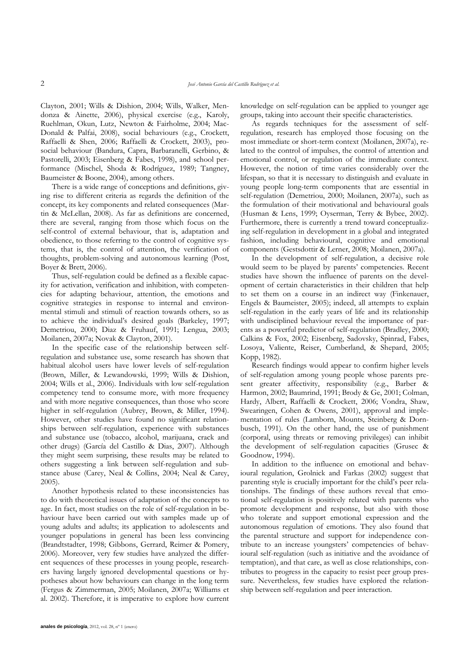Clayton, 2001; Wills & Dishion, 2004; Wills, Walker, Mendonza & Ainette, 2006), physical exercise (e.g., Karoly, Ruehlman, Okun, Lutz, Newton & Fairholme, 2004; Mac-Donald & Palfai, 2008), social behaviours (e.g., Crockett, Raffaelli & Shen, 2006; Raffaelli & Crockett, 2003), prosocial behaviour (Bandura, Capra, Barbaranelli, Gerbino, & Pastorelli, 2003; Eisenberg & Fabes, 1998), and school performance (Mischel, Shoda & Rodríguez, 1989; Tangney, Baumeister & Boone, 2004), among others.

There is a wide range of conceptions and definitions, giving rise to different criteria as regards the definition of the concept, its key components and related consequences (Martin & McLellan, 2008). As far as definitions are concerned, there are several, ranging from those which focus on the self-control of external behaviour, that is, adaptation and obedience, to those referring to the control of cognitive systems, that is, the control of attention, the verification of thoughts, problem-solving and autonomous learning (Post, Boyer & Brett, 2006).

Thus, self-regulation could be defined as a flexible capacity for activation, verification and inhibition, with competencies for adapting behaviour, attention, the emotions and cognitive strategies in response to internal and environmental stimuli and stimuli of reaction towards others, so as to achieve the individual's desired goals (Barkeley, 1997; Demetriou, 2000; Diaz & Fruhauf, 1991; Lengua, 2003; Moilanen, 2007a; Novak & Clayton, 2001).

In the specific case of the relationship between selfregulation and substance use, some research has shown that habitual alcohol users have lower levels of self-regulation (Brown, Miller, & Lewandowski, 1999; Wills & Dishion, 2004; Wills et al., 2006). Individuals with low self-regulation competency tend to consume more, with more frequency and with more negative consequences, than those who score higher in self-regulation (Aubrey, Brown, & Miller, 1994). However, other studies have found no significant relationships between self-regulation, experience with substances and substance use (tobacco, alcohol, marijuana, crack and other drugs) (García del Castillo & Dias, 2007). Although they might seem surprising, these results may be related to others suggesting a link between self-regulation and substance abuse (Carey, Neal & Collins, 2004; Neal & Carey, 2005).

Another hypothesis related to these inconsistencies has to do with theoretical issues of adaptation of the concepts to age. In fact, most studies on the role of self-regulation in behaviour have been carried out with samples made up of young adults and adults; its application to adolescents and younger populations in general has been less convincing (Brandtstadter, 1998; Gibbons, Gerrard, Reimer & Pomery, 2006). Moreover, very few studies have analyzed the different sequences of these processes in young people, researchers having largely ignored developmental questions or hypotheses about how behaviours can change in the long term (Fergus & Zimmerman, 2005; Moilanen, 2007a; Williams et al. 2002). Therefore, it is imperative to explore how current

**anales de psicología**, 2012, vol. 28, nº 1 (enero)

knowledge on self-regulation can be applied to younger age groups, taking into account their specific characteristics.

As regards techniques for the assessment of selfregulation, research has employed those focusing on the most immediate or short-term context (Moilanen, 2007a), related to the control of impulses, the control of attention and emotional control, or regulation of the immediate context. However, the notion of time varies considerably over the lifespan, so that it is necessary to distinguish and evaluate in young people long-term components that are essential in self-regulation (Demetriou, 2000; Moilanen, 2007a), such as the formulation of their motivational and behavioural goals (Husman & Lens, 1999; Oyserman, Terry & Bybee, 2002). Furthermore, there is currently a trend toward conceptualizing self-regulation in development in a global and integrated fashion, including behavioural, cognitive and emotional components (Gestsdottir & Lerner, 2008; Moilanen, 2007a).

In the development of self-regulation, a decisive role would seem to be played by parents' competencies. Recent studies have shown the influence of parents on the development of certain characteristics in their children that help to set them on a course in an indirect way (Finkenauer, Engels & Baumeister, 2005); indeed, all attempts to explain self-regulation in the early years of life and its relationship with undisciplined behaviour reveal the importance of parents as a powerful predictor of self-regulation (Bradley, 2000; Calkins & Fox, 2002; Eisenberg, Sadovsky, Spinrad, Fabes, Losoya, Valiente, Reiser, Cumberland, & Shepard, 2005; Kopp, 1982).

Research findings would appear to confirm higher levels of self-regulation among young people whose parents present greater affectivity, responsibility (e.g., Barber & Harmon, 2002; Baumrind, 1991; Brody & Ge, 2001; Colman, Hardy, Albert, Raffaelli & Crockett, 2006; Vondra, Shaw, Swearingen, Cohen & Owens, 2001), approval and implementation of rules (Lamborn, Mounts, Steinberg & Dornbusch, 1991). On the other hand, the use of punishment (corporal, using threats or removing privileges) can inhibit the development of self-regulation capacities (Grusec & Goodnow, 1994).

In addition to the influence on emotional and behavioural regulation, Grolnick and Farkas (2002) suggest that parenting style is crucially important for the child's peer relationships. The findings of these authors reveal that emotional self-regulation is positively related with parents who promote development and response, but also with those who tolerate and support emotional expression and the autonomous regulation of emotions. They also found that the parental structure and support for independence contribute to an increase youngsters' competencies of behavioural self-regulation (such as initiative and the avoidance of temptation), and that care, as well as close relationships, contributes to progress in the capacity to resist peer group pressure. Nevertheless, few studies have explored the relationship between self-regulation and peer interaction.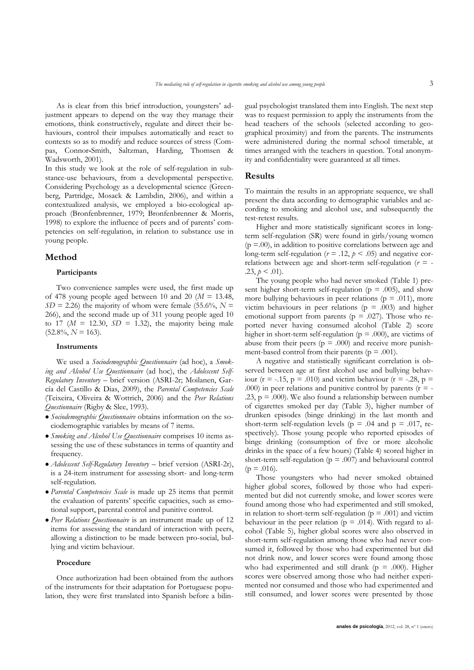As is clear from this brief introduction, youngsters' adjustment appears to depend on the way they manage their emotions, think constructively, regulate and direct their behaviours, control their impulses automatically and react to contexts so as to modify and reduce sources of stress (Compas, Connor**-**Smith, Saltzman, Harding, Thomsen & Wadsworth, 2001).

In this study we look at the role of self-regulation in substance-use behaviours, from a developmental perspective. Considering Psychology as a developmental science (Greenberg, Partridge, Mosack & Lambdin, 2006), and within a contextualized analysis, we employed a bio-ecological approach (Bronfenbrenner, 1979; Bronfenbrenner & Morris, 1998) to explore the influence of peers and of parents' competencies on self-regulation, in relation to substance use in young people.

## **Method**

#### **Participants**

Two convenience samples were used, the first made up of 478 young people aged between 10 and 20  $(M = 13.48,$  $SD = 2.26$ ) the majority of whom were female (55.6%,  $N =$ 266), and the second made up of 311 young people aged 10 to 17 ( $M = 12.30$ ,  $SD = 1.32$ ), the majority being male  $(52.8\%, N = 163).$ 

#### **Instruments**

We used a *Sociodemographic Questionnaire* (ad hoc), a *Smoking and Alcohol Use Questionnaire* (ad hoc), the *Adolescent Self-Regulatory Inventory* – brief version (ASRI-2r; Moilanen, García del Castillo & Dias, 2009), the *Parental Competencies Scale*  (Teixeira, Oliveira & Wottrich, 2006) and the *Peer Relations Questionnaire* (Rigby & Slee, 1993).

- *Sociodemographic Questionnaire* obtains information on the sociodemographic variables by means of 7 items.
- *Smoking and Alcohol Use Questionnaire* comprises 10 items assessing the use of these substances in terms of quantity and frequency.
- *Adolescent Self-Regulatory Inventory* brief version (ASRI-2r), is a 24-item instrument for assessing short- and long-term self-regulation.
- *Parental Competencies Scale* is made up 25 items that permit the evaluation of parents' specific capacities, such as emotional support, parental control and punitive control.
- *Peer Relations Questionnaire* is an instrument made up of 12 items for assessing the standard of interaction with peers, allowing a distinction to be made between pro-social, bullying and victim behaviour.

#### **Procedure**

Once authorization had been obtained from the authors of the instruments for their adaptation for Portuguese population, they were first translated into Spanish before a bilin-

gual psychologist translated them into English. The next step was to request permission to apply the instruments from the head teachers of the schools (selected according to geographical proximity) and from the parents. The instruments were administered during the normal school timetable, at times arranged with the teachers in question. Total anonymity and confidentiality were guaranteed at all times.

### **Results**

To maintain the results in an appropriate sequence, we shall present the data according to demographic variables and according to smoking and alcohol use, and subsequently the test-retest results.

Higher and more statistically significant scores in longterm self-regulation (SR) were found in girls/young women  $(p = 00)$ , in addition to positive correlations between age and long-term self-regulation ( $r = .12$ ,  $p < .05$ ) and negative correlations between age and short-term self-regulation  $(r = -1)$ .23,  $p < .01$ ).

The young people who had never smoked (Table 1) present higher short-term self-regulation ( $p = .005$ ), and show more bullying behaviours in peer relations ( $p = .011$ ), more victim behaviours in peer relations ( $p = .003$ ) and higher emotional support from parents ( $p = .027$ ). Those who reported never having consumed alcohol (Table 2) score higher in short-term self-regulation ( $p = .000$ ), are victims of abuse from their peers ( $p = .000$ ) and receive more punishment-based control from their parents ( $p = .001$ ).

A negative and statistically significant correlation is observed between age at first alcohol use and bullying behaviour (r = -.15, p = .010) and victim behaviour (r = -.28, p = .000) in peer relations and punitive control by parents ( $r = -$ .23,  $p = .000$ ). We also found a relationship between number of cigarettes smoked per day (Table 3), higher number of drunken episodes (binge drinking) in the last month and short-term self-regulation levels ( $p = .04$  and  $p = .017$ , respectively). Those young people who reported episodes of binge drinking (consumption of five or more alcoholic drinks in the space of a few hours) (Table 4) scored higher in short-term self-regulation ( $p = .007$ ) and behavioural control  $(p = .016)$ .

Those youngsters who had never smoked obtained higher global scores, followed by those who had experimented but did not currently smoke, and lower scores were found among those who had experimented and still smoked, in relation to short-term self-regulation ( $p = .001$ ) and victim behaviour in the peer relation ( $p = .014$ ). With regard to alcohol (Table 5), higher global scores were also observed in short-term self-regulation among those who had never consumed it, followed by those who had experimented but did not drink now, and lower scores were found among those who had experimented and still drank ( $p = .000$ ). Higher scores were observed among those who had neither experimented nor consumed and those who had experimented and still consumed, and lower scores were presented by those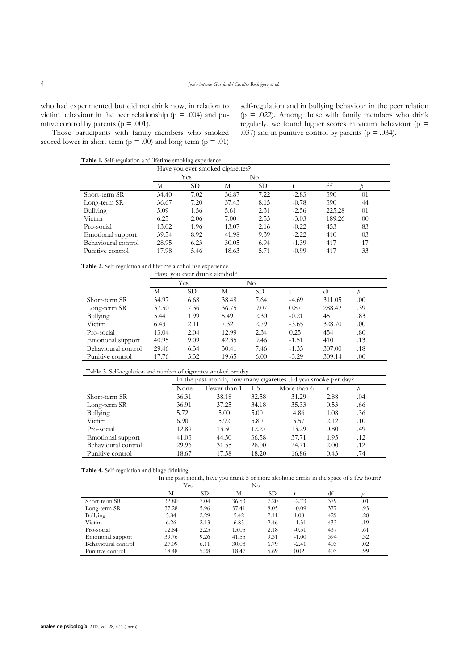who had experimented but did not drink now, in relation to victim behaviour in the peer relationship ( $p = .004$ ) and punitive control by parents ( $p = .001$ ).

self-regulation and in bullying behaviour in the peer relation ( $p = .022$ ). Among those with family members who drink regularly, we found higher scores in victim behaviour ( $p =$ .037) and in punitive control by parents ( $p = .034$ ).

Those participants with family members who smoked scored lower in short-term ( $p = .00$ ) and long-term ( $p = .01$ )

**Table 1.** Self-regulation and lifetime smoking experience.

|                     |       |           | Have you ever smoked cigarettes? |           |         |        |     |
|---------------------|-------|-----------|----------------------------------|-----------|---------|--------|-----|
|                     |       | Yes       |                                  | No        |         |        |     |
|                     | М     | <b>SD</b> | М                                | <b>SD</b> |         | df     |     |
| Short-term SR       | 34.40 | 7.02      | 36.87                            | 7.22      | $-2.83$ | 390    | .01 |
| Long-term SR        | 36.67 | 7.20      | 37.43                            | 8.15      | $-0.78$ | 390    | .44 |
| Bullying            | 5.09  | 1.56      | 5.61                             | 2.31      | $-2.56$ | 225.28 | .01 |
| Victim              | 6.25  | 2.06      | 7.00                             | 2.53      | $-3.03$ | 189.26 | .00 |
| Pro-social          | 13.02 | 1.96      | 13.07                            | 2.16      | $-0.22$ | 453    | .83 |
| Emotional support   | 39.54 | 8.92      | 41.98                            | 9.39      | $-2.22$ | 410    | .03 |
| Behavioural control | 28.95 | 6.23      | 30.05                            | 6.94      | $-1.39$ | 417    | .17 |
| Punitive control    | 17.98 | 5.46      | 18.63                            | 5.71      | $-0.99$ | 417    | .33 |

## **Table 2.** Self-regulation and lifetime alcohol use experience.

|                     |       | Have you ever drunk alcohol? |       |           |         |        |     |  |
|---------------------|-------|------------------------------|-------|-----------|---------|--------|-----|--|
|                     |       | Yes                          |       | No.       |         |        |     |  |
|                     | М     | SD.                          | М     | <b>SD</b> |         | df     |     |  |
| Short-term SR       | 34.97 | 6.68                         | 38.48 | 7.64      | $-4.69$ | 311.05 | .00 |  |
| Long-term SR        | 37.50 | 7.36                         | 36.75 | 9.07      | 0.87    | 288.42 | .39 |  |
| Bullying            | 5.44  | 1.99                         | 5.49  | 2.30      | $-0.21$ | 45     | .83 |  |
| Victim              | 6.43  | 2.11                         | 7.32  | 2.79      | $-3.65$ | 328.70 | .00 |  |
| Pro-social          | 13.04 | 2.04                         | 12.99 | 2.34      | 0.25    | 454    | .80 |  |
| Emotional support   | 40.95 | 9.09                         | 42.35 | 9.46      | $-1.51$ | 410    | .13 |  |
| Behavioural control | 29.46 | 6.34                         | 30.41 | 7.46      | $-1.35$ | 307.00 | .18 |  |
| Punitive control    | 17.76 | 5.32                         | 19.65 | 6.00      | $-3.29$ | 309.14 | .00 |  |

#### **Table 3.** Self-regulation and number of cigarettes smoked per day.

|                     | In the past month, how many cigarettes did you smoke per day? |              |         |             |              |     |  |  |  |
|---------------------|---------------------------------------------------------------|--------------|---------|-------------|--------------|-----|--|--|--|
|                     | None                                                          | Fewer than 1 | $1 - 5$ | More than 6 | $\mathbf{r}$ |     |  |  |  |
| Short-term SR       | 36.31                                                         | 38.18        | 32.58   | 31.29       | 2.88         | .04 |  |  |  |
| Long-term SR        | 36.91                                                         | 37.25        | 34.18   | 35.33       | 0.53         | .66 |  |  |  |
| Bullying            | 5.72                                                          | 5.00         | 5.00    | 4.86        | 1.08         | .36 |  |  |  |
| Victim              | 6.90                                                          | 5.92         | 5.80    | 5.57        | 2.12         | .10 |  |  |  |
| Pro-social          | 12.89                                                         | 13.50        | 12.27   | 13.29       | 0.80         | .49 |  |  |  |
| Emotional support   | 41.03                                                         | 44.50        | 36.58   | 37.71       | 1.95         | .12 |  |  |  |
| Behavioural control | 29.96                                                         | 31.55        | 28.00   | 24.71       | 2.00         | .12 |  |  |  |
| Punitive control    | 18.67                                                         | 17.58        | 18.20   | 16.86       | 0.43         | .74 |  |  |  |

#### **Table 4.** Self-regulation and binge drinking.

|--|

|                     |       | Yes  | No    |      |         |     |     |  |
|---------------------|-------|------|-------|------|---------|-----|-----|--|
|                     | М     | SD   | М     | SD   |         | df  |     |  |
| Short-term SR       | 32.80 | 7.04 | 36.53 | 7.20 | $-2.73$ | 379 | .01 |  |
| Long-term SR        | 37.28 | 5.96 | 37.41 | 8.05 | $-0.09$ | 377 | .93 |  |
| Bullying            | 5.84  | 2.29 | 5.42  | 2.11 | 1.08    | 429 | .28 |  |
| Victim              | 6.26  | 2.13 | 6.85  | 2.46 | $-1.31$ | 433 | .19 |  |
| Pro-social          | 12.84 | 2.25 | 13.05 | 2.18 | $-0.51$ | 437 | .61 |  |
| Emotional support   | 39.76 | 9.26 | 41.55 | 9.31 | $-1.00$ | 394 | .32 |  |
| Behavioural control | 27.09 | 6.11 | 30.08 | 6.79 | $-2.41$ | 403 | .02 |  |
| Punitive control    | 18.48 | 5.28 | 18.47 | 5.69 | 0.02    | 403 | .99 |  |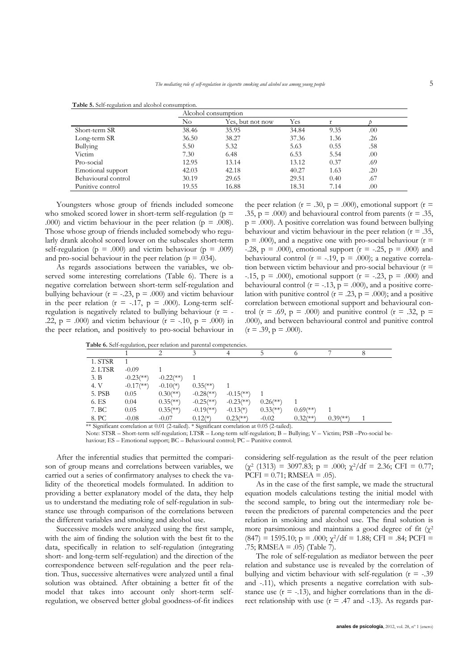|                     |       | Alcohol consumption |       |      |     |  |
|---------------------|-------|---------------------|-------|------|-----|--|
|                     | No    | Yes, but not now    | Yes   |      |     |  |
| Short-term SR       | 38.46 | 35.95               | 34.84 | 9.35 | .00 |  |
| Long-term SR        | 36.50 | 38.27               | 37.36 | 1.36 | .26 |  |
| Bullying            | 5.50  | 5.32                | 5.63  | 0.55 | .58 |  |
| Victim              | 7.30  | 6.48                | 6.53  | 5.54 | .00 |  |
| Pro-social          | 12.95 | 13.14               | 13.12 | 0.37 | .69 |  |
| Emotional support   | 42.03 | 42.18               | 40.27 | 1.63 | .20 |  |
| Behavioural control | 30.19 | 29.65               | 29.51 | 0.40 | .67 |  |
| Punitive control    | 19.55 | 16.88               | 18.31 | 7.14 | .00 |  |

**Table 5.** Self-regulation and alcohol consumption.

Youngsters whose group of friends included someone who smoked scored lower in short-term self-regulation ( $p =$ .000) and victim behaviour in the peer relation ( $p = .008$ ). Those whose group of friends included somebody who regularly drank alcohol scored lower on the subscales short-term self-regulation ( $p = .000$ ) and victim behaviour ( $p = .009$ ) and pro-social behaviour in the peer relation ( $p = .034$ ).

As regards associations between the variables, we observed some interesting correlations (Table 6). There is a negative correlation between short-term self-regulation and bullying behaviour ( $r = -.23$ ,  $p = .000$ ) and victim behaviour in the peer relation  $(r = -17, p = .000)$ . Long-term selfregulation is negatively related to bullying behaviour  $(r = -$ .22,  $p = .000$  and victim behaviour ( $r = -.10$ ,  $p = .000$ ) in the peer relation, and positively to pro-social behaviour in

the peer relation ( $r = .30$ ,  $p = .000$ ), emotional support ( $r =$ .35,  $p = .000$ ) and behavioural control from parents ( $r = .35$ ,  $p = .000$ . A positive correlation was found between bullying behaviour and victim behaviour in the peer relation ( $r = .35$ ,  $p = .000$ ), and a negative one with pro-social behaviour ( $r =$  $-28$ ,  $p = .000$ , emotional support ( $r = -0.25$ ,  $p = .000$ ) and behavioural control ( $r = -.19$ ,  $p = .000$ ); a negative correlation between victim behaviour and pro-social behaviour  $(r =$ -.15,  $p = .000$ , emotional support ( $r = -.23$ ,  $p = .000$ ) and behavioural control ( $r = -13$ ,  $p = .000$ ), and a positive correlation with punitive control ( $r = .23$ ,  $p = .000$ ); and a positive correlation between emotional support and behavioural control (r = .69, p = .000) and punitive control (r = .32, p = .000), and between behavioural control and punitive control  $(r = .39, p = .000)$ .

|         |                           |              |                           |                           |                          |                          |                        | 8 |
|---------|---------------------------|--------------|---------------------------|---------------------------|--------------------------|--------------------------|------------------------|---|
| 1. STSR |                           |              |                           |                           |                          |                          |                        |   |
| 2. LTSR | $-0.09$                   |              |                           |                           |                          |                          |                        |   |
| 3. B    | $-0.23$ <sup>(**)</sup> ) | $-0.22$ (**) |                           |                           |                          |                          |                        |   |
| 4. V    | $-0.17$ (**)              | $-0.10(*)$   | $0.35$ (**)               |                           |                          |                          |                        |   |
| 5. PSB  | 0.05                      | $0.30$ (**)  | $-0.28$ <sup>(**)</sup> ) | $-0.15$ <sup>(**)</sup> ) |                          |                          |                        |   |
| 6. ES   | 0.04                      | $0.35$ (**)  | $-0.25$ (**)              | $-0.23$ <sup>(**)</sup> ) | $0.26$ <sup>(**)</sup> ) |                          |                        |   |
| 7. BC   | 0.05                      | $0.35$ (**)  | $-0.19$ <sup>(**)</sup> ) | $-0.13(*)$                | $0.33$ (**)              | $0.69$ <sup>(**)</sup> ) |                        |   |
| 8. PC   | $-0.08$                   | $-0.07$      | $0.12(*)$                 | $0.23$ <sup>(**)</sup> )  | $-0.02$                  | $0.32$ <sup>(**)</sup>   | $0.39$ <sup>(**)</sup> |   |

Note: STSR – Short-term self-regulation; LTSR – Long-term self-regulation; B – Bullying; V – Victim; PSB –Pro-social behaviour; ES – Emotional support; BC – Behavioural control; PC – Punitive control.

After the inferential studies that permitted the comparison of group means and correlations between variables, we carried out a series of confirmatory analyses to check the validity of the theoretical models formulated. In addition to providing a better explanatory model of the data, they help us to understand the mediating role of self-regulation in substance use through comparison of the correlations between the different variables and smoking and alcohol use.

Successive models were analyzed using the first sample, with the aim of finding the solution with the best fit to the data, specifically in relation to self-regulation (integrating short- and long-term self-regulation) and the direction of the correspondence between self-regulation and the peer relation. Thus, successive alternatives were analyzed until a final solution was obtained. After obtaining a better fit of the model that takes into account only short-term selfregulation, we observed better global goodness-of-fit indices considering self-regulation as the result of the peer relation  $(\chi^2 \text{ (1313)} = 3097.83; \, \text{p} = .000; \, \chi^2/\text{df} = 2.36; \, \text{CFI} = 0.77;$  $PCFI = 0.71$ ; RMSEA = .05).

As in the case of the first sample, we made the structural equation models calculations testing the initial model with the second sample, to bring out the intermediary role between the predictors of parental competencies and the peer relation in smoking and alcohol use. The final solution is more parsimonious and maintains a good degree of fit  $(\chi^2)$  $(847) = 1595.10$ ; p = .000;  $\chi^2$ /df = 1.88; CFI = .84; PCFI = .75; RMSEA = .05) (Table 7).

The role of self-regulation as mediator between the peer relation and substance use is revealed by the correlation of bullying and victim behaviour with self-regulation  $(r = -0.39)$ and -.11), which presents a negative correlation with substance use  $(r = -13)$ , and higher correlations than in the direct relationship with use  $(r = .47$  and  $-.13)$ . As regards par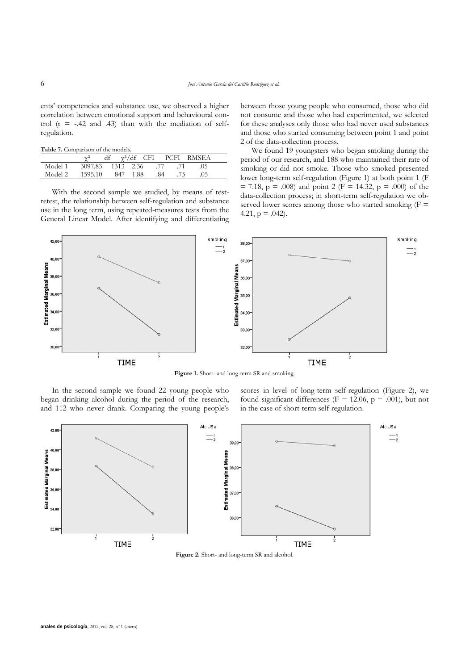ents' competencies and substance use, we observed a higher correlation between emotional support and behavioural control  $(r = -0.42$  and  $0.43)$  than with the mediation of selfregulation.

**Table 7.** Comparison of the models.

|         | $\chi^2$                  |          |     |      | df $\chi^2$ /df CFI PCFI RMSEA |
|---------|---------------------------|----------|-----|------|--------------------------------|
| Model 1 | 3097.83 1313 2.36 .77 .71 |          |     |      | - 05                           |
| Model 2 | 1595.10                   | 847 1.88 | .84 | - 75 |                                |

With the second sample we studied, by means of testretest, the relationship between self-regulation and substance use in the long term, using repeated-measures tests from the General Linear Model. After identifying and differentiating between those young people who consumed, those who did not consume and those who had experimented, we selected for these analyses only those who had never used substances and those who started consuming between point 1 and point 2 of the data-collection process.

We found 19 youngsters who began smoking during the period of our research, and 188 who maintained their rate of smoking or did not smoke. Those who smoked presented lower long-term self-regulation (Figure 1) at both point 1 (F  $= 7.18$ ,  $p = .008$ ) and point 2 (F = 14.32, p = .000) of the data-collection process; in short-term self-regulation we observed lower scores among those who started smoking  $(F =$ 4.21,  $p = .042$ ).



**Figure 1.** Short- and long-term SR and smoking.

In the second sample we found 22 young people who began drinking alcohol during the period of the research, and 112 who never drank. Comparing the young people's scores in level of long-term self-regulation (Figure 2), we found significant differences ( $F = 12.06$ ,  $p = .001$ ), but not in the case of short-term self-regulation.



**Figure 2.** Short- and long-term SR and alcohol.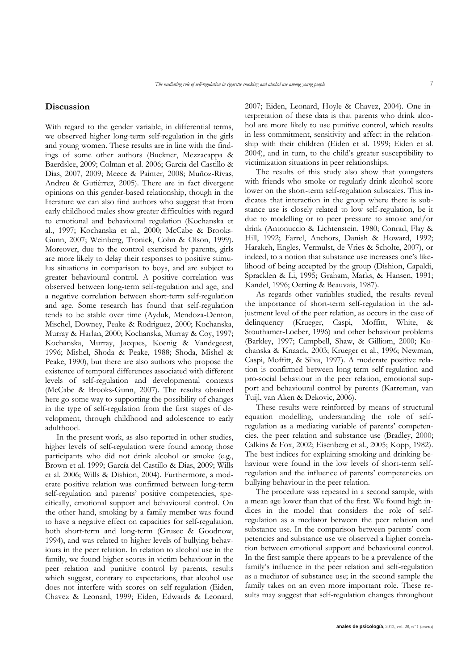## **Discussion**

With regard to the gender variable, in differential terms, we observed higher long-term self-regulation in the girls and young women. These results are in line with the findings of some other authors (Buckner, Mezzacappa & Baerdslee, 2009; Colman et al. 2006; García del Castillo & Dias, 2007, 2009; Meece & Painter, 2008; Muñoz-Rivas, Andreu & Gutiérrez, 2005). There are in fact divergent opinions on this gender-based relationship, though in the literature we can also find authors who suggest that from early childhood males show greater difficulties with regard to emotional and behavioural regulation (Kochanska et al., 1997; Kochanska et al., 2000; McCabe & Brooks-Gunn, 2007; Weinberg, Tronick, Cohn & Olson, 1999). Moreover, due to the control exercised by parents, girls are more likely to delay their responses to positive stimulus situations in comparison to boys, and are subject to greater behavioural control. A positive correlation was observed between long-term self-regulation and age, and a negative correlation between short-term self-regulation and age. Some research has found that self-regulation tends to be stable over time (Ayduk, Mendoza-Denton, Mischel, Downey, Peake & Rodriguez, 2000; Kochanska, Murray & Harlan, 2000; Kochanska, Murray & Coy, 1997; Kochanska, Murray, Jacques, Koenig & Vandegeest, 1996; Mishel, Shoda & Peake, 1988; Shoda, Mishel & Peake, 1990), but there are also authors who propose the existence of temporal differences associated with different levels of self-regulation and developmental contexts (McCabe & Brooks-Gunn, 2007). The results obtained here go some way to supporting the possibility of changes in the type of self-regulation from the first stages of development, through childhood and adolescence to early adulthood.

In the present work, as also reported in other studies, higher levels of self-regulation were found among those participants who did not drink alcohol or smoke (e.g., Brown et al. 1999; García del Castillo & Dias, 2009; Wills et al. 2006; Wills & Dishion, 2004). Furthermore, a moderate positive relation was confirmed between long-term self-regulation and parents' positive competencies, specifically, emotional support and behavioural control. On the other hand, smoking by a family member was found to have a negative effect on capacities for self-regulation, both short-term and long-term (Grusec & Goodnow, 1994), and was related to higher levels of bullying behaviours in the peer relation. In relation to alcohol use in the family, we found higher scores in victim behaviour in the peer relation and punitive control by parents, results which suggest, contrary to expectations, that alcohol use does not interfere with scores on self-regulation (Eiden, Chavez & Leonard, 1999; Eiden, Edwards & Leonard, 2007; Eiden, Leonard, Hoyle & Chavez, 2004). One interpretation of these data is that parents who drink alcohol are more likely to use punitive control, which results in less commitment, sensitivity and affect in the relationship with their children (Eiden et al. 1999; Eiden et al. 2004), and in turn, to the child's greater susceptibility to victimization situations in peer relationships.

The results of this study also show that youngsters with friends who smoke or regularly drink alcohol score lower on the short-term self-regulation subscales. This indicates that interaction in the group where there is substance use is closely related to low self-regulation, be it due to modelling or to peer pressure to smoke and/or drink (Antonuccio & Lichtenstein, 1980; Conrad, Flay & Hill, 1992; Farrel, Anchors, Danish & Howard, 1992; Harakeh, Engles, Vermulst, de Vries & Scholte, 2007), or indeed, to a notion that substance use increases one's likelihood of being accepted by the group (Dishion, Capaldi, Spracklen & Li, 1995; Graham, Marks, & Hansen, 1991; Kandel, 1996; Oetting & Beauvais, 1987).

As regards other variables studied, the results reveal the importance of short-term self-regulation in the adjustment level of the peer relation, as occurs in the case of delinquency (Krueger, Caspi, Moffitt, White, & Stouthamer-Loeber, 1996) and other behaviour problems (Barkley, 1997; Campbell, Shaw, & Gilliom, 2000; Kochanska & Knaack, 2003; Krueger et al., 1996; Newman, Caspi, Moffitt, & Silva, 1997). A moderate positive relation is confirmed between long-term self-regulation and pro-social behaviour in the peer relation, emotional support and behavioural control by parents (Karreman, van Tuijl, van Aken & Dekovic, 2006).

These results were reinforced by means of structural equation modelling, understanding the role of selfregulation as a mediating variable of parents' competencies, the peer relation and substance use (Bradley, 2000; Calkins & Fox, 2002; Eisenberg et al., 2005; Kopp, 1982). The best indices for explaining smoking and drinking behaviour were found in the low levels of short-term selfregulation and the influence of parents' competencies on bullying behaviour in the peer relation.

The procedure was repeated in a second sample, with a mean age lower than that of the first. We found high indices in the model that considers the role of selfregulation as a mediator between the peer relation and substance use. In the comparison between parents' competencies and substance use we observed a higher correlation between emotional support and behavioural control. In the first sample there appears to be a prevalence of the family's influence in the peer relation and self-regulation as a mediator of substance use; in the second sample the family takes on an even more important role. These results may suggest that self-regulation changes throughout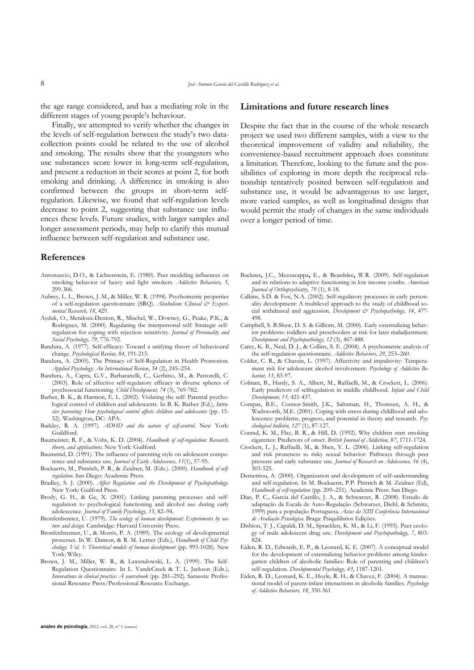the age range considered, and has a mediating role in the different stages of young people's behaviour.

Finally, we attempted to verify whether the changes in the levels of self-regulation between the study's two datacollection points could be related to the use of alcohol and smoking. The results show that the youngsters who use substances score lower in long-term self-regulation, and present a reduction in their scores at point 2, for both smoking and drinking. A difference in smoking is also confirmed between the groups in short-term selfregulation. Likewise, we found that self-regulation levels decrease to point 2, suggesting that substance use influences these levels. Future studies, with larger samples and longer assessment periods, may help to clarify this mutual influence between self-regulation and substance use.

## **References**

- Antonuccio, D.O., & Lichtenstein, E. (1980). Peer modeling influences on smoking behavior of heavy and light smokers. *Addictive Behaviors, 5*, 299-306.
- Aubrey, L. L., Brown, J. M., & Miller, W. R. (1994). Psychometric properties of a self-regulation questionnaire (SRQ). *Alcoholism: Clinical & Experimental Research, 18*, 429.
- Ayduk, O., Mendoza-Denton, R., Mischel, W., Downey, G., Peake, P.K., & Rodriguez, M. (2000). Regulating the interpersonal self: Strategic selfregulation for coping with rejection sensitivity. *Journal of Personality and Social Psychology, 79*, 776-792.
- Bandura, A. (1977). Self-efficacy: Toward a unifying theory of behavioural change. *Psychological Review, 84*, 191-215.
- Bandura, A. (2005). The Primacy of Self-Regulation in Health Promotion. *Applied Psychology: An International Review*, *54* (2), 245–254.
- Bandura, A., Capra, G.V., Barbaranelli, C., Gerbino, M., & Pastorelli, C. (2003). Role of affective self-regulatory efficacy in diverse spheres of psychosocial functioning. *Child Development, 74* (3), 769-782.
- Barber, B. K., & Harmon, E. L. (2002). Violating the self: Parental psychological control of children and adolescents. In B. K. Barber (Ed.), *Intrusive parenting: How psychological control affects children and adolescents* (pp. 15- 52). Washington, DC: APA.
- Barkley, R. A. (1997). *ADHD and the nature of self-control*. New York: Guildford.
- Baumeister, R. F., & Vohs, K. D. (2004). *Handbook of self-regulation: Research, theory, and applications*. New York: Guilford.
- Baumrind, D. (1991). The influence of parenting style on adolescent competence and substance use. *Journal of Early Adolescence*, *11*(1), 57-95.
- Boekaerts, M., Pintrich, P. R., & Zeidner, M. (Eds.). (2000). *Handbook of selfregulation*. San Diego: Academic Press.
- Bradley, S. J. (2000). *Affect Regulation and the Development of Psychopathology*. New York: Guilford Press.
- Brody, G. H., & Ge, X. (2001). Linking parenting processes and selfregulation to psychological functioning and alcohol use during early adolescence. *Journal of Family Psychology, 15*, 82–94.
- Bronfenbenner, U. (1979). The ecology of human development: Experiments by na*ture and design*. Cambridge: Harvard University Press.
- Bronfenbrenner, U., & Morris, P. A. (1989). The ecology of developmental processes. In W. Damon, & R. M. Lerner (Eds.), *Handbook of Child Psychology. Vol. 1: Theoretical models of human development* (pp. 993-1028). New York: Wiley.
- Brown, J. M., Miller, W. R., & Lawendowski, L. A. (1999). The Self-Regulation Questionnaire. In L. VandeCreek & T. L. Jackson (Eds.), *Innovations in clinical practice: A sourcebook* (pp. 281–292). Sarasota: Professional Resource Press/Professional Resource Exchange.

## **Limitations and future research lines**

Despite the fact that in the course of the whole research project we used two different samples, with a view to the theoretical improvement of validity and reliability, the convenience-based recruitment approach does constitute a limitation. Therefore, looking to the future and the possibilities of exploring in more depth the reciprocal relationship tentatively posited between self-regulation and substance use, it would be advantageous to use larger, more varied samples, as well as longitudinal designs that would permit the study of changes in the same individuals over a longer period of time.

- Buckner**,** J.C., Mezzacappa**,** E., & Beardslee**,** W.R. (2009). Self-regulation and its relations to adaptive functioning in low income youths. *American Journal of Orthopsychiatry, 79* (1), 8-18.
- Calkins, S.D. & Fox, N.A. (2002). Self-regulatory processes in early personality development: A multilevel approach to the study of childhood social withdrawal and aggression. Development & Psychopathology, 14, 477-498.
- Campbell, S. B.Shaw, D. S. & Gilliom, M. (2000). Early externalizing behavior problems: toddlers and preschoolers at risk for later maladjustment. *Development and Psychopathology, 12* (3), 467-488.
- Carey, K. B., Neal, D. J., & Collins, S. E. (2004). A psychometric analysis of the self-regulation questionnaire. *Addictive Behaviors, 29*, 253–260.
- Colder, C. R., & Chassin, L. (1997). Affectivity and impulsivity: Temperament risk for adolescent alcohol involvement. *Psychology of Addictive Behavior, 11*, 83-97.
- Colman, B., Hardy, S. A., Albert, M., Raffaelli, M., & Crockett, L. (2006). Early predictors of selfregulation in middle childhood*. Infant and Child Development, 15,* 421-437*.*
- Compas, B.E., Connor-Smith, J.K., Saltzman, H., Thomsen, A. H., & Wadsworth, M.E. (2001). Coping with stress during childhood and adolescence: problems, progress, and potential in theory and research. *Psychological bulletin, 127* (1), 87-127.
- Conrad, K. M., Flay, B. R., & Hill, D. (1992). Why children start smoking cigarettes: Predictors of onset. *British Journal of Addiction, 87*, 1711-1724.
- Crockett, L. J., Raffaelli, M., & Shen, Y. L. (2006). Linking self-regulation and risk proneness to risky sexual behavior: Pathways through peer pressure and early substance use. *Journal of Research on Adolescence, 16* (4), 503-525.
- Demetriou, A. (2000). Organization and development of self-understanding and self-regulation. In M. Boekaerst, P.P. Pintrich & M. Zeidner (Ed), *Handbook of self-regulation* (pp. 209–251). Academic Press: San Diego.
- Dias, P. C., Garcia del Castillo, J. A., & Schwarzer, R. (2008). Estudo de adaptação da Escala de Auto-Regulação (Schwarzer, Diehl, & Schmitz, 1999) para a população Portuguesa. *Actas da XIII Conferência Internacional de Avaliação Psicológica*. Braga: Psiquilibrios Edições.
- Dishion, T. J., Capaldi, D. M., Spracklen, K. M., & Li, F. (1995). Peer ecology of male adolescent drug use. *Development and Psychopathology, 7*, 803- 824.
- Eiden, R. D., Edwards, E. P., & Leonard, K. E. (2007). A conceptual model for the development of externalizing behavior problems among kindergarten children of alcoholic families: Role of parenting and children's self-regulation. *Developmental Psychology, 43*, 1187-1201.
- Eiden, R. D., Leonard, K. E., Hoyle, R. H., & Chavez, F. (2004). A transactional model of parent-infant interactions in alcoholic families. *Psychology of Addictive Behaviors, 18*, 350-361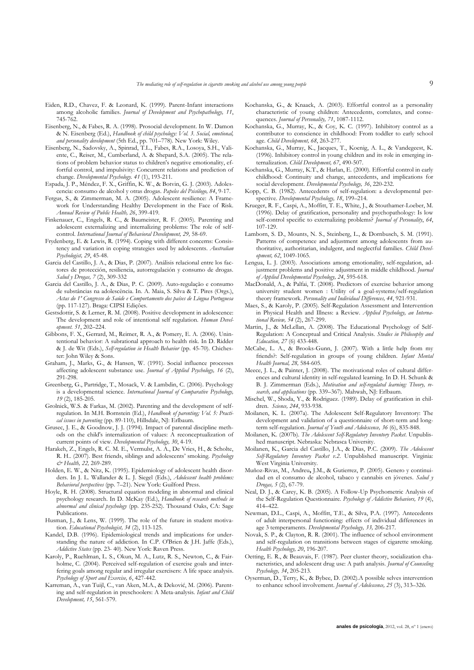- Eiden, R.D., Chavez, F. & Leonard, K. (1999). Parent-Infant interactions among alcoholic families. *Journal of Development and Psychopathology, 11*, 745-762.
- Eisenberg, N., & Fabes, R. A. (1998). Prosocial development. In W. Damon & N. Eisenberg (Ed.), *Handbook of child psychology: Vol. 3. Social, emotional, and personality development* (5th Ed., pp. 701–778). New York: Wiley.
- Eisenberg, N., Sadovsky, A., Spinrad, T.L., Fabes, R.A., Losoya, S.H., Valiente, C., Reiser, M., Cumberland, A. & Shepard, S.A. (2005). The relations of problem behavior status to children's negative emotionality, effortful control, and impulsivity: Concurrent relations and prediction of change. *Developmental Psychology. 41* (1), 193-211.
- Espada, J. P., Méndez, F. X., Griffin, K. W., & Botvin, G. J. (2003). Adolescencia: consumo de alcohol y otras drogas. *Papeles del Psicólogo, 84*, 9-17.
- Fergus, S., & Zimmerman, M. A. (2005). Adolescent resilience: A Framework for Understanding Healthy Development in the Face of Risk. *Annual Review of Public Health, 26*, 399-419.
- Finkenauer, C., Engels, R. C., & Baumeister, R. F. (2005). Parenting and adolescent externalizing and internalizing problems: The role of selfcontrol. *International Journal of Behavioral Development, 29,* 58-69.
- Frydenberg, E. & Lewis, R. (1994). Coping with different concerns: Consistency and variation in coping strategies used by adolescents. *Australian Psychologist, 29*, 45-48.
- Garcia del Castillo, J. A., & Dias, P. (2007). Análisis relacional entre los factores de protección, resiliencia, autorregulación y consumo de drogas. *Salud y Drogas, 7* (2), 309-332
- Garcia del Castillo, J. A., & Dias, P. C. (2009). Auto-regulação e consumo de substâncias na adolescência. In. A. Maia, S. Silva & T. Pires (Orgs.), *Actas do 1º Congresso de Saúde e Comportamento dos países de Língua Portuguesa* (pp. 117-127). Braga: CIPSI Edições.
- Gestsdottir, S. & Lerner, R. M. (2008). Positive development in adolescence: The development and role of intentional self regulation. *Human Development. 51*, 202–224.
- Gibbons, F. X., Gerrard, M., Reimer, R. A., & Pomery, E. A. (2006). Unintentional behavior: A subrational approach to health risk. In D. Ridder & J. de Wit (Eds.), *Self-regulation in Health Behavior* (pp. 45-70). Chichester: John Wiley & Sons.
- Graham, J., Marks, G., & Hansen, W. (1991). Social influence processes affecting adolescent substance use. *Journal of Applied Psychology, 16* (2), 291-298.
- Greenberg, G., Partridge, T., Mosack, V. & Lambdin, C. (2006). Psychology is a developmental science. *International Journal of Comparative Psychology, 19* (2), 185-205.
- Grolnick, W.S. & Farkas, M. (2002). Parenting and the development of selfregulation. In M.H. Bornstein (Ed.), *Handbook of parenting; Vol. 5: Practical issues in parenting* (pp. 89-110), Hillsdale, NJ: Erlbaum.
- Grusec, J. E., & Goodnow, J. J. (1994). Impact of parental discipline methods on the child's internalization of values: A reconceptualization of current points of view. *Developmental Psychology, 30*, 4-19.
- Harakeh, Z., Engels, R. C. M. E., Vermulst, A. A., De Vries, H., & Scholte, R. H.. (2007). Best friends, siblings and adolescents' smoking. *Psychology & Health, 22,* 269-289.
- Holden, E. W., & Nitz, K. (1995). Epidemiology of adolescent health disorders. In J. L. Wallander & L. J. Siegel (Eds.), *Adolescent health problems: Behavioral perspectives* (pp. 7–21). New York: Guilford Press.
- Hoyle, R. H. (2008). Structural equation modeling in abnormal and clinical psychology research. In D. McKay (Ed.), *Handbook of research methods in abnormal and clinical psychology* (pp. 235-252). Thousand Oaks, CA: Sage Publications.
- Husman, J., & Lens, W. (1999). The role of the future in student motivation. *Educational Psychologist, 34* (2), 113-125.
- Kandel, D.B. (1996). Epidemiological trends and implications for understanding the nature of addiction. In C.P. O'Brien & J.H. Jaffe (Eds.), *Addictive States* (pp. 23- 40). New York: Raven Press.
- Karoly, P., Ruehlman, L. S., Okun, M. A., Lutz, R. S., Newton, C., & Fairholme, C. (2004). Perceived self-regulation of exercise goals and interfering goals among regular and irregular exercisers: A life space analysis. *Psychology of Sport and Exercise, 6*, 427-442.
- Karreman, A., van Tuijl, C., van Aken, M.A., & Deković, M. (2006). Parenting and self-regulation in preschoolers: A Meta-analysis. *Infant and Child Development, 15*, 561-579.
- Kochanska, G., & Knaack, A. (2003). Effortful control as a personality characteristic of young children: Antecedents, correlates, and consequences. *Journal of Personality, 71*, 1087-1112.
- Kochanska, G., Murray, K., & Coy, K. C. (1997). Inhibitory control as a contributor to conscience in childhood: From toddler to early school age. *Child Development, 68*, 263-277.
- Kochanska, G., Murray, K., Jacques, T., Koenig, A. L., & Vandegeest, K. (1996). Inhibitory control in young children and its role in emerging internalization. *Child Development, 67*, 490-507.
- Kochanska, G., Murray, K.T., & Harlan, E. (2000). Effortful control in early childhood: Continuity and change, antecedents, and implications for social development. *Developmental Psychology, 36*, 220-232.
- Kopp, C. B. (1982). Antecedents of self-regulation: a developmental perspective. *Developmental Psychology, 18*, 199–214.
- Krueger, R. F., Caspi, A., Moffitt, T. E., White, J., & Stouthamer-Loeber, M. (1996). Delay of gratification, personality and psychopathology: Is low self-control specific to externalizing problems? *Journal of Personality*, *64*, 107-129.
- Lamborn, S. D., Mounts, N. S., Steinberg, L., & Dornbusch, S. M. (1991). Patterns of competence and adjustment among adolescents from authoritative, authoritarian, indulgent, and neglectful families. *Child Development, 62*, 1049-1065.
- Lengua, L. J. (2003). Associations among emotionality, self-regulation, adjustment problems and positive adjustment in middle childhood. *Journal of Applied Developmental Psychology, 24*, 595-618.
- MacDonald, A., & Palfai, T. (2008). Predictors of exercise behavior among university student women : Utility of a goal-systems/self-regulation theory framework. *Personality and Individual Differences, 44*, 921-931.
- Maes, S., & Karoly, P. (2005). Self-Regulation Assessment and Intervention in Physical Health and Illness: a Review. *Applied Psychology, an International Review, 54* (2), 267-299.
- Martin, J., & McLellan, A. (2008). The Educational Psychology of Self-Regulation: A Conceptual and Critical Analysis. *Studies in Philosophy and Education, 27* (6) 433-448.
- McCabe, L. A., & Brooks-Gunn, J. (2007). With a little help from my friends?: Self-regulation in groups of young children. *Infant Mental Health Journal, 28,* 584-605.
- Meece, J. L., & Painter, J. (2008). The motivational roles of cultural differences and cultural identity in self-regulated learning. In D. H. Schunk & B. J. Zimmerman (Eds.), *Motivation and self-regulated learning: Theory, research, and applications* (pp. 339–367). Mahwah, NJ: Erlbaum.
- Mischel, W., Shoda, Y., & Rodriguez. (1989). Delay of gratification in children. *Science, 244*, 933-938.
- Moilanen, K. L. (2007a). The Adolescent Self-Regulatory Inventory: The development and validation of a questionnaire of short-term and longterm self-regulation. *Journal of Youth and Adolescence, 36* (6), 835-848.
- Moilanen, K. (2007b). *The Adolescent Self-Regulatory Inventory Packet*. Unpublished manuscript. Nebraska: Nebrasca University.
- Moilanen, K., Garcia del Castillo, J.A., & Dias, P.C. (2009). *The Adolescent Self-Regulatory Inventory Packet v.2*. Unpublished manuscript. Virginia: West Virginia University.
- Muñoz-Rivas, M., Andreu**,** J.M., & Gutierrez, P. (2005). Genero y continuidad en el consumo de alcohol, tabaco y cannabis en jóvenes. *Salud y Drogas, 5* (2), 67-79.
- Neal, D. J., & Carey, K. B. (2005). A Follow-Up Psychometric Analysis of the Self-Regulation Questionnaire. *Psychology of Addictive Behaviors, 19* (4), 414–422.
- Newman, D.L., Caspi, A., Moffitt, T.E., & Silva, P.A. (1997). Antecedents of adult interpersonal functioning: effects of individual differences in age 3 temperaments. *Developmental Psychology, 33,* 206-217.
- Novak, S. P., & Clayton, R. R. (2001). The influence of school environment and self-regulation on transitions between stages of cigarette smoking. *Health Psychology, 20*, 196-207.
- Oetting, E. R., & Beauvais, F. (1987). Peer cluster theory, socialization characteristics, and adolescent drug use: A path analysis. *Journal of Counseling Psychology, 34*, 205-213.
- Oyserman, D., Terry, K., & Bybee, D. (2002).A possible selves intervention to enhance school involvement. *Journal of Adolescence, 25* (3), 313–326.